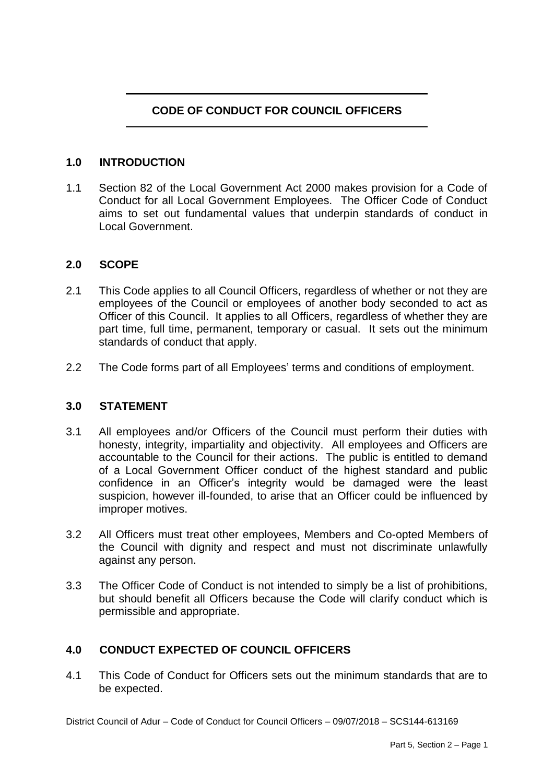# **CODE OF CONDUCT FOR COUNCIL OFFICERS**

### **1.0 INTRODUCTION**

1.1 Section 82 of the Local Government Act 2000 makes provision for a Code of Conduct for all Local Government Employees. The Officer Code of Conduct aims to set out fundamental values that underpin standards of conduct in Local Government.

#### **2.0 SCOPE**

- 2.1 This Code applies to all Council Officers, regardless of whether or not they are employees of the Council or employees of another body seconded to act as Officer of this Council. It applies to all Officers, regardless of whether they are part time, full time, permanent, temporary or casual. It sets out the minimum standards of conduct that apply.
- 2.2 The Code forms part of all Employees' terms and conditions of employment.

#### **3.0 STATEMENT**

- 3.1 All employees and/or Officers of the Council must perform their duties with honesty, integrity, impartiality and objectivity. All employees and Officers are accountable to the Council for their actions. The public is entitled to demand of a Local Government Officer conduct of the highest standard and public confidence in an Officer's integrity would be damaged were the least suspicion, however ill-founded, to arise that an Officer could be influenced by improper motives.
- 3.2 All Officers must treat other employees, Members and Co-opted Members of the Council with dignity and respect and must not discriminate unlawfully against any person.
- 3.3 The Officer Code of Conduct is not intended to simply be a list of prohibitions, but should benefit all Officers because the Code will clarify conduct which is permissible and appropriate.

### **4.0 CONDUCT EXPECTED OF COUNCIL OFFICERS**

4.1 This Code of Conduct for Officers sets out the minimum standards that are to be expected.

District Council of Adur – Code of Conduct for Council Officers – 09/07/2018 – SCS144-613169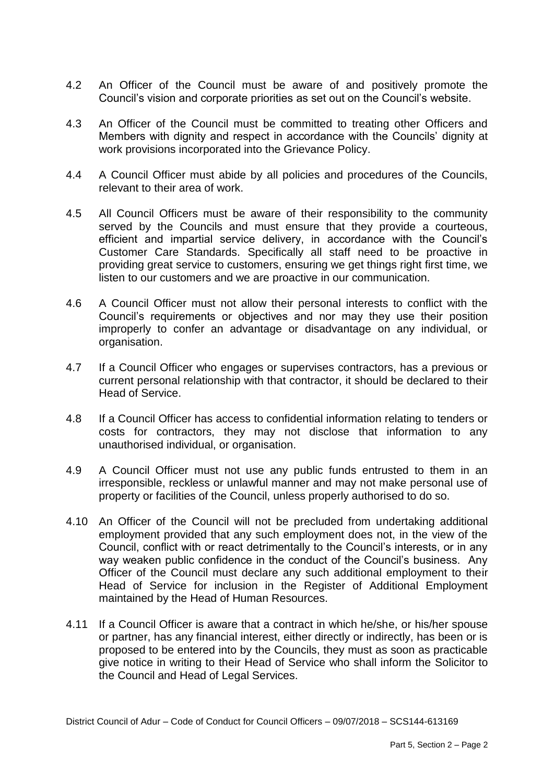- 4.2 An Officer of the Council must be aware of and positively promote the Council's vision and corporate priorities as set out on the Council's website.
- 4.3 An Officer of the Council must be committed to treating other Officers and Members with dignity and respect in accordance with the Councils' dignity at work provisions incorporated into the Grievance Policy.
- 4.4 A Council Officer must abide by all policies and procedures of the Councils, relevant to their area of work.
- 4.5 All Council Officers must be aware of their responsibility to the community served by the Councils and must ensure that they provide a courteous, efficient and impartial service delivery, in accordance with the Council's Customer Care Standards. Specifically all staff need to be proactive in providing great service to customers, ensuring we get things right first time, we listen to our customers and we are proactive in our communication.
- 4.6 A Council Officer must not allow their personal interests to conflict with the Council's requirements or objectives and nor may they use their position improperly to confer an advantage or disadvantage on any individual, or organisation.
- 4.7 If a Council Officer who engages or supervises contractors, has a previous or current personal relationship with that contractor, it should be declared to their Head of Service.
- 4.8 If a Council Officer has access to confidential information relating to tenders or costs for contractors, they may not disclose that information to any unauthorised individual, or organisation.
- 4.9 A Council Officer must not use any public funds entrusted to them in an irresponsible, reckless or unlawful manner and may not make personal use of property or facilities of the Council, unless properly authorised to do so.
- 4.10 An Officer of the Council will not be precluded from undertaking additional employment provided that any such employment does not, in the view of the Council, conflict with or react detrimentally to the Council's interests, or in any way weaken public confidence in the conduct of the Council's business. Any Officer of the Council must declare any such additional employment to their Head of Service for inclusion in the Register of Additional Employment maintained by the Head of Human Resources.
- 4.11 If a Council Officer is aware that a contract in which he/she, or his/her spouse or partner, has any financial interest, either directly or indirectly, has been or is proposed to be entered into by the Councils, they must as soon as practicable give notice in writing to their Head of Service who shall inform the Solicitor to the Council and Head of Legal Services.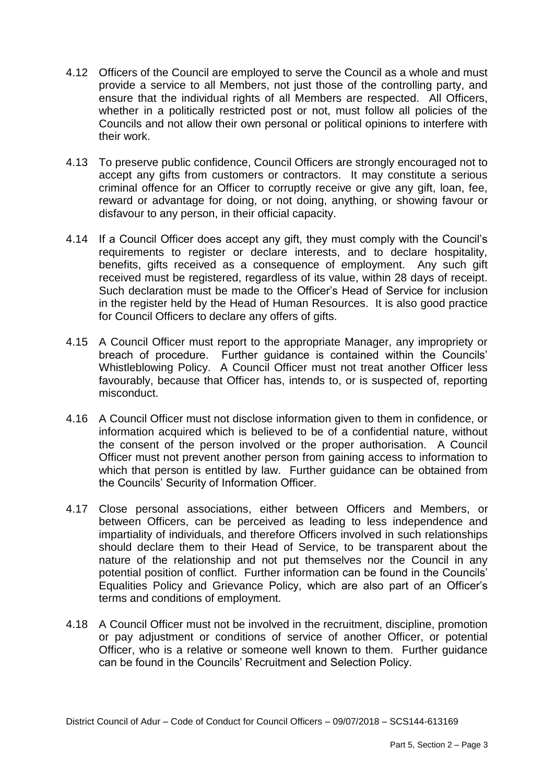- 4.12 Officers of the Council are employed to serve the Council as a whole and must provide a service to all Members, not just those of the controlling party, and ensure that the individual rights of all Members are respected. All Officers, whether in a politically restricted post or not, must follow all policies of the Councils and not allow their own personal or political opinions to interfere with their work.
- 4.13 To preserve public confidence, Council Officers are strongly encouraged not to accept any gifts from customers or contractors. It may constitute a serious criminal offence for an Officer to corruptly receive or give any gift, loan, fee, reward or advantage for doing, or not doing, anything, or showing favour or disfavour to any person, in their official capacity.
- 4.14 If a Council Officer does accept any gift, they must comply with the Council's requirements to register or declare interests, and to declare hospitality, benefits, gifts received as a consequence of employment. Any such gift received must be registered, regardless of its value, within 28 days of receipt. Such declaration must be made to the Officer's Head of Service for inclusion in the register held by the Head of Human Resources. It is also good practice for Council Officers to declare any offers of gifts.
- 4.15 A Council Officer must report to the appropriate Manager, any impropriety or breach of procedure. Further guidance is contained within the Councils' Whistleblowing Policy. A Council Officer must not treat another Officer less favourably, because that Officer has, intends to, or is suspected of, reporting misconduct.
- 4.16 A Council Officer must not disclose information given to them in confidence, or information acquired which is believed to be of a confidential nature, without the consent of the person involved or the proper authorisation. A Council Officer must not prevent another person from gaining access to information to which that person is entitled by law. Further guidance can be obtained from the Councils' Security of Information Officer.
- 4.17 Close personal associations, either between Officers and Members, or between Officers, can be perceived as leading to less independence and impartiality of individuals, and therefore Officers involved in such relationships should declare them to their Head of Service, to be transparent about the nature of the relationship and not put themselves nor the Council in any potential position of conflict. Further information can be found in the Councils' Equalities Policy and Grievance Policy, which are also part of an Officer's terms and conditions of employment.
- 4.18 A Council Officer must not be involved in the recruitment, discipline, promotion or pay adjustment or conditions of service of another Officer, or potential Officer, who is a relative or someone well known to them. Further guidance can be found in the Councils' Recruitment and Selection Policy.